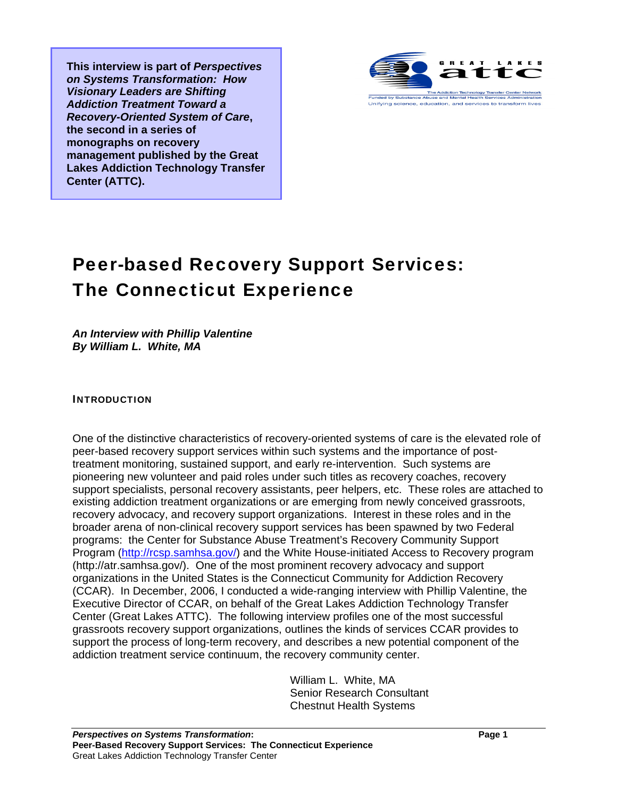**This interview is part of** *Perspectives on Systems Transformation: How Visionary Leaders are Shifting Addiction Treatment Toward a Recovery-Oriented System of Care***, the second in a series of monographs on recovery management published by the Great Lakes Addiction Technology Transfer Center (ATTC).** 



## Peer-based Recovery Support Services: The Connecticut Experience

*An Interview with Phillip Valentine By William L. White, MA* 

## INTRODUCTION

One of the distinctive characteristics of recovery-oriented systems of care is the elevated role of peer-based recovery support services within such systems and the importance of posttreatment monitoring, sustained support, and early re-intervention. Such systems are pioneering new volunteer and paid roles under such titles as recovery coaches, recovery support specialists, personal recovery assistants, peer helpers, etc. These roles are attached to existing addiction treatment organizations or are emerging from newly conceived grassroots, recovery advocacy, and recovery support organizations. Interest in these roles and in the broader arena of non-clinical recovery support services has been spawned by two Federal programs: the Center for Substance Abuse Treatment's Recovery Community Support Program (http://rcsp.samhsa.gov/) and the White House-initiated Access to Recovery program (http://atr.samhsa.gov/). One of the most prominent recovery advocacy and support organizations in the United States is the Connecticut Community for Addiction Recovery (CCAR). In December, 2006, I conducted a wide-ranging interview with Phillip Valentine, the Executive Director of CCAR, on behalf of the Great Lakes Addiction Technology Transfer Center (Great Lakes ATTC). The following interview profiles one of the most successful grassroots recovery support organizations, outlines the kinds of services CCAR provides to support the process of long-term recovery, and describes a new potential component of the addiction treatment service continuum, the recovery community center.

> William L. White, MA Senior Research Consultant Chestnut Health Systems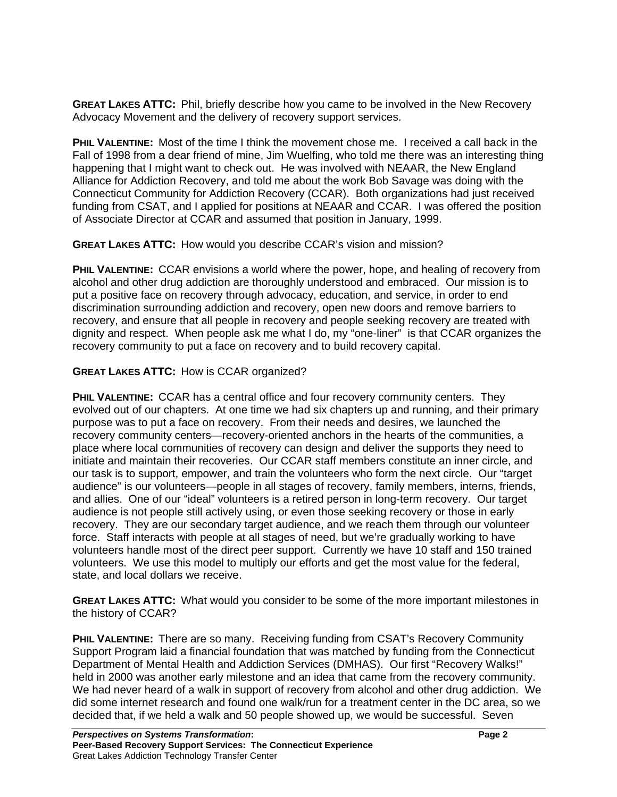**GREAT LAKES ATTC:** Phil, briefly describe how you came to be involved in the New Recovery Advocacy Movement and the delivery of recovery support services.

**PHIL VALENTINE:** Most of the time I think the movement chose me. I received a call back in the Fall of 1998 from a dear friend of mine, Jim Wuelfing, who told me there was an interesting thing happening that I might want to check out. He was involved with NEAAR, the New England Alliance for Addiction Recovery, and told me about the work Bob Savage was doing with the Connecticut Community for Addiction Recovery (CCAR). Both organizations had just received funding from CSAT, and I applied for positions at NEAAR and CCAR. I was offered the position of Associate Director at CCAR and assumed that position in January, 1999.

**GREAT LAKES ATTC:** How would you describe CCAR's vision and mission?

**PHIL VALENTINE:** CCAR envisions a world where the power, hope, and healing of recovery from alcohol and other drug addiction are thoroughly understood and embraced. Our mission is to put a positive face on recovery through advocacy, education, and service, in order to end discrimination surrounding addiction and recovery, open new doors and remove barriers to recovery, and ensure that all people in recovery and people seeking recovery are treated with dignity and respect. When people ask me what I do, my "one-liner" is that CCAR organizes the recovery community to put a face on recovery and to build recovery capital.

## **GREAT LAKES ATTC:** How is CCAR organized?

**PHIL VALENTINE:** CCAR has a central office and four recovery community centers. They evolved out of our chapters. At one time we had six chapters up and running, and their primary purpose was to put a face on recovery. From their needs and desires, we launched the recovery community centers—recovery-oriented anchors in the hearts of the communities, a place where local communities of recovery can design and deliver the supports they need to initiate and maintain their recoveries. Our CCAR staff members constitute an inner circle, and our task is to support, empower, and train the volunteers who form the next circle. Our "target audience" is our volunteers—people in all stages of recovery, family members, interns, friends, and allies. One of our "ideal" volunteers is a retired person in long-term recovery. Our target audience is not people still actively using, or even those seeking recovery or those in early recovery. They are our secondary target audience, and we reach them through our volunteer force. Staff interacts with people at all stages of need, but we're gradually working to have volunteers handle most of the direct peer support. Currently we have 10 staff and 150 trained volunteers. We use this model to multiply our efforts and get the most value for the federal, state, and local dollars we receive.

**GREAT LAKES ATTC:** What would you consider to be some of the more important milestones in the history of CCAR?

**PHIL VALENTINE:** There are so many. Receiving funding from CSAT's Recovery Community Support Program laid a financial foundation that was matched by funding from the Connecticut Department of Mental Health and Addiction Services (DMHAS). Our first "Recovery Walks!" held in 2000 was another early milestone and an idea that came from the recovery community. We had never heard of a walk in support of recovery from alcohol and other drug addiction. We did some internet research and found one walk/run for a treatment center in the DC area, so we decided that, if we held a walk and 50 people showed up, we would be successful. Seven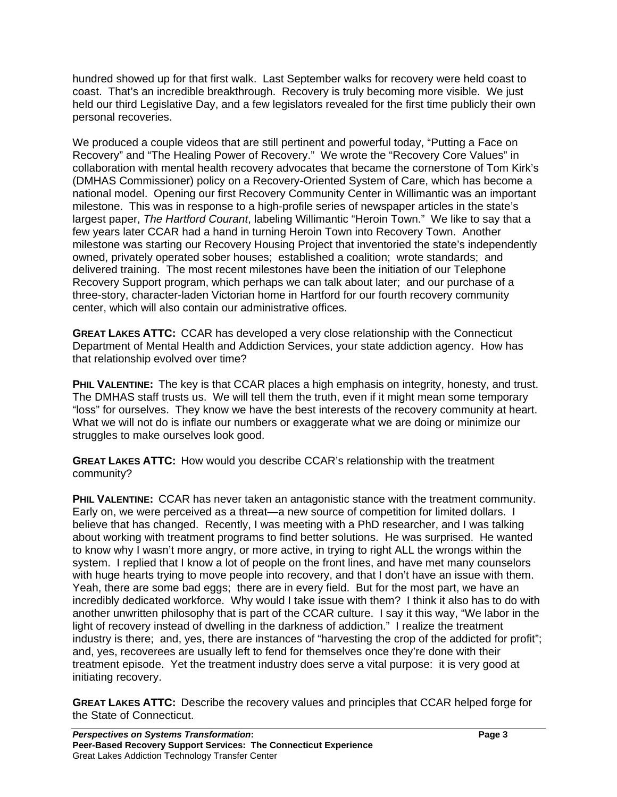hundred showed up for that first walk. Last September walks for recovery were held coast to coast. That's an incredible breakthrough. Recovery is truly becoming more visible. We just held our third Legislative Day, and a few legislators revealed for the first time publicly their own personal recoveries.

We produced a couple videos that are still pertinent and powerful today, "Putting a Face on Recovery" and "The Healing Power of Recovery." We wrote the "Recovery Core Values" in collaboration with mental health recovery advocates that became the cornerstone of Tom Kirk's (DMHAS Commissioner) policy on a Recovery-Oriented System of Care, which has become a national model. Opening our first Recovery Community Center in Willimantic was an important milestone. This was in response to a high-profile series of newspaper articles in the state's largest paper, *The Hartford Courant*, labeling Willimantic "Heroin Town." We like to say that a few years later CCAR had a hand in turning Heroin Town into Recovery Town. Another milestone was starting our Recovery Housing Project that inventoried the state's independently owned, privately operated sober houses; established a coalition; wrote standards; and delivered training. The most recent milestones have been the initiation of our Telephone Recovery Support program, which perhaps we can talk about later; and our purchase of a three-story, character-laden Victorian home in Hartford for our fourth recovery community center, which will also contain our administrative offices.

**GREAT LAKES ATTC:** CCAR has developed a very close relationship with the Connecticut Department of Mental Health and Addiction Services, your state addiction agency. How has that relationship evolved over time?

**PHIL VALENTINE:** The key is that CCAR places a high emphasis on integrity, honesty, and trust. The DMHAS staff trusts us. We will tell them the truth, even if it might mean some temporary "loss" for ourselves. They know we have the best interests of the recovery community at heart. What we will not do is inflate our numbers or exaggerate what we are doing or minimize our struggles to make ourselves look good.

**GREAT LAKES ATTC:** How would you describe CCAR's relationship with the treatment community?

**PHIL VALENTINE:** CCAR has never taken an antagonistic stance with the treatment community. Early on, we were perceived as a threat—a new source of competition for limited dollars. I believe that has changed. Recently, I was meeting with a PhD researcher, and I was talking about working with treatment programs to find better solutions. He was surprised. He wanted to know why I wasn't more angry, or more active, in trying to right ALL the wrongs within the system. I replied that I know a lot of people on the front lines, and have met many counselors with huge hearts trying to move people into recovery, and that I don't have an issue with them. Yeah, there are some bad eggs; there are in every field. But for the most part, we have an incredibly dedicated workforce. Why would I take issue with them? I think it also has to do with another unwritten philosophy that is part of the CCAR culture. I say it this way, "We labor in the light of recovery instead of dwelling in the darkness of addiction." I realize the treatment industry is there; and, yes, there are instances of "harvesting the crop of the addicted for profit"; and, yes, recoverees are usually left to fend for themselves once they're done with their treatment episode. Yet the treatment industry does serve a vital purpose: it is very good at initiating recovery.

**GREAT LAKES ATTC:** Describe the recovery values and principles that CCAR helped forge for the State of Connecticut.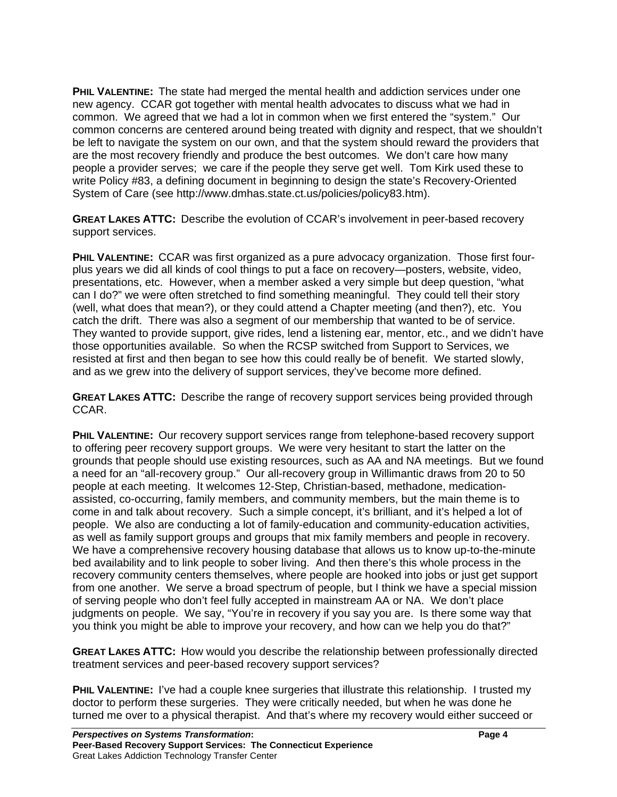**PHIL VALENTINE:** The state had merged the mental health and addiction services under one new agency. CCAR got together with mental health advocates to discuss what we had in common. We agreed that we had a lot in common when we first entered the "system." Our common concerns are centered around being treated with dignity and respect, that we shouldn't be left to navigate the system on our own, and that the system should reward the providers that are the most recovery friendly and produce the best outcomes. We don't care how many people a provider serves; we care if the people they serve get well. Tom Kirk used these to write Policy #83, a defining document in beginning to design the state's Recovery-Oriented System of Care (see http://www.dmhas.state.ct.us/policies/policy83.htm).

**GREAT LAKES ATTC:** Describe the evolution of CCAR's involvement in peer-based recovery support services.

**PHIL VALENTINE:** CCAR was first organized as a pure advocacy organization. Those first fourplus years we did all kinds of cool things to put a face on recovery—posters, website, video, presentations, etc. However, when a member asked a very simple but deep question, "what can I do?" we were often stretched to find something meaningful. They could tell their story (well, what does that mean?), or they could attend a Chapter meeting (and then?), etc. You catch the drift. There was also a segment of our membership that wanted to be of service. They wanted to provide support, give rides, lend a listening ear, mentor, etc., and we didn't have those opportunities available. So when the RCSP switched from Support to Services, we resisted at first and then began to see how this could really be of benefit. We started slowly, and as we grew into the delivery of support services, they've become more defined.

**GREAT LAKES ATTC:** Describe the range of recovery support services being provided through CCAR.

**PHIL VALENTINE:** Our recovery support services range from telephone-based recovery support to offering peer recovery support groups. We were very hesitant to start the latter on the grounds that people should use existing resources, such as AA and NA meetings. But we found a need for an "all-recovery group." Our all-recovery group in Willimantic draws from 20 to 50 people at each meeting. It welcomes 12-Step, Christian-based, methadone, medicationassisted, co-occurring, family members, and community members, but the main theme is to come in and talk about recovery. Such a simple concept, it's brilliant, and it's helped a lot of people. We also are conducting a lot of family-education and community-education activities, as well as family support groups and groups that mix family members and people in recovery. We have a comprehensive recovery housing database that allows us to know up-to-the-minute bed availability and to link people to sober living. And then there's this whole process in the recovery community centers themselves, where people are hooked into jobs or just get support from one another. We serve a broad spectrum of people, but I think we have a special mission of serving people who don't feel fully accepted in mainstream AA or NA. We don't place judgments on people. We say, "You're in recovery if you say you are. Is there some way that you think you might be able to improve your recovery, and how can we help you do that?"

**GREAT LAKES ATTC:** How would you describe the relationship between professionally directed treatment services and peer-based recovery support services?

**PHIL VALENTINE:** I've had a couple knee surgeries that illustrate this relationship. I trusted my doctor to perform these surgeries. They were critically needed, but when he was done he turned me over to a physical therapist. And that's where my recovery would either succeed or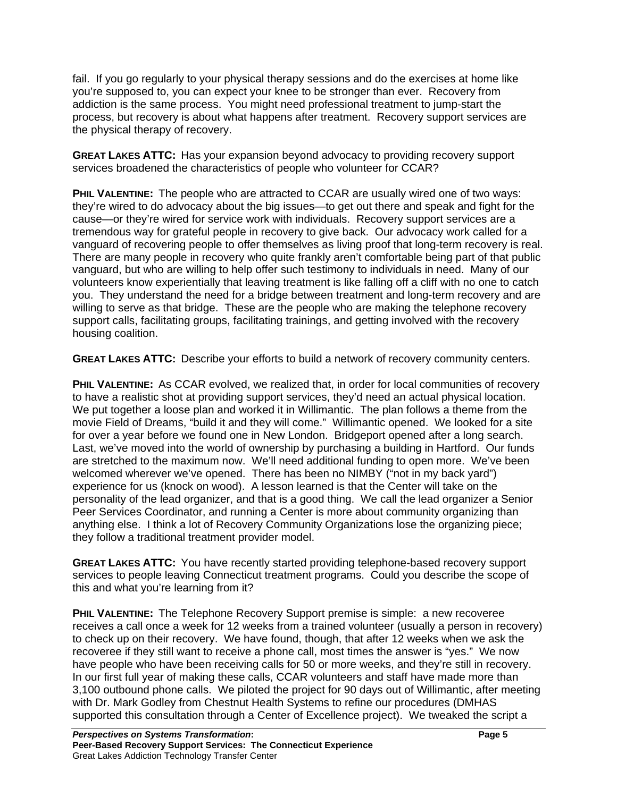fail. If you go regularly to your physical therapy sessions and do the exercises at home like you're supposed to, you can expect your knee to be stronger than ever. Recovery from addiction is the same process. You might need professional treatment to jump-start the process, but recovery is about what happens after treatment. Recovery support services are the physical therapy of recovery.

**GREAT LAKES ATTC:** Has your expansion beyond advocacy to providing recovery support services broadened the characteristics of people who volunteer for CCAR?

**PHIL VALENTINE:** The people who are attracted to CCAR are usually wired one of two ways: they're wired to do advocacy about the big issues—to get out there and speak and fight for the cause—or they're wired for service work with individuals. Recovery support services are a tremendous way for grateful people in recovery to give back. Our advocacy work called for a vanguard of recovering people to offer themselves as living proof that long-term recovery is real. There are many people in recovery who quite frankly aren't comfortable being part of that public vanguard, but who are willing to help offer such testimony to individuals in need. Many of our volunteers know experientially that leaving treatment is like falling off a cliff with no one to catch you. They understand the need for a bridge between treatment and long-term recovery and are willing to serve as that bridge. These are the people who are making the telephone recovery support calls, facilitating groups, facilitating trainings, and getting involved with the recovery housing coalition.

**GREAT LAKES ATTC:** Describe your efforts to build a network of recovery community centers.

**PHIL VALENTINE:** As CCAR evolved, we realized that, in order for local communities of recovery to have a realistic shot at providing support services, they'd need an actual physical location. We put together a loose plan and worked it in Willimantic. The plan follows a theme from the movie Field of Dreams, "build it and they will come." Willimantic opened. We looked for a site for over a year before we found one in New London. Bridgeport opened after a long search. Last, we've moved into the world of ownership by purchasing a building in Hartford. Our funds are stretched to the maximum now. We'll need additional funding to open more. We've been welcomed wherever we've opened. There has been no NIMBY ("not in my back yard") experience for us (knock on wood). A lesson learned is that the Center will take on the personality of the lead organizer, and that is a good thing. We call the lead organizer a Senior Peer Services Coordinator, and running a Center is more about community organizing than anything else. I think a lot of Recovery Community Organizations lose the organizing piece; they follow a traditional treatment provider model.

**GREAT LAKES ATTC:** You have recently started providing telephone-based recovery support services to people leaving Connecticut treatment programs. Could you describe the scope of this and what you're learning from it?

**PHIL VALENTINE:** The Telephone Recovery Support premise is simple: a new recoveree receives a call once a week for 12 weeks from a trained volunteer (usually a person in recovery) to check up on their recovery. We have found, though, that after 12 weeks when we ask the recoveree if they still want to receive a phone call, most times the answer is "yes." We now have people who have been receiving calls for 50 or more weeks, and they're still in recovery. In our first full year of making these calls, CCAR volunteers and staff have made more than 3,100 outbound phone calls. We piloted the project for 90 days out of Willimantic, after meeting with Dr. Mark Godley from Chestnut Health Systems to refine our procedures (DMHAS supported this consultation through a Center of Excellence project). We tweaked the script a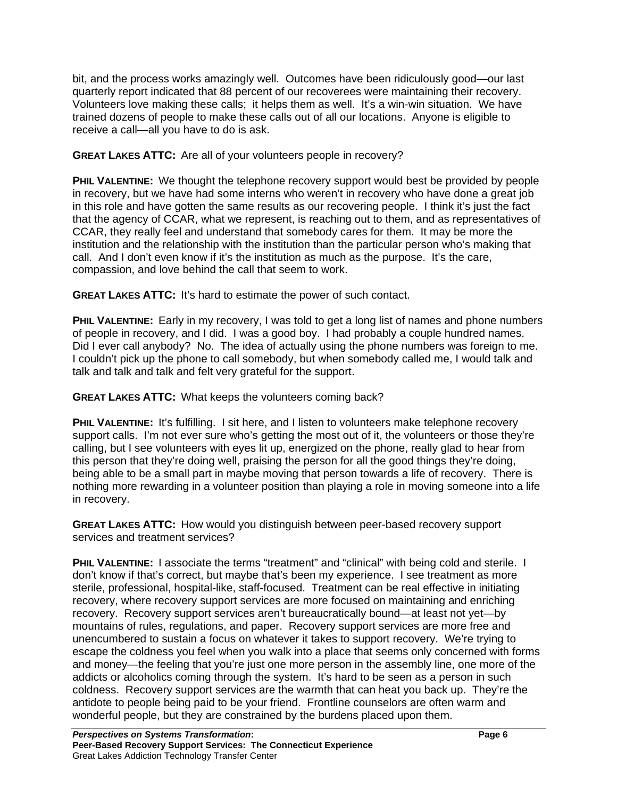bit, and the process works amazingly well. Outcomes have been ridiculously good—our last quarterly report indicated that 88 percent of our recoverees were maintaining their recovery. Volunteers love making these calls; it helps them as well. It's a win-win situation. We have trained dozens of people to make these calls out of all our locations. Anyone is eligible to receive a call—all you have to do is ask.

**GREAT LAKES ATTC:** Are all of your volunteers people in recovery?

**PHIL VALENTINE:** We thought the telephone recovery support would best be provided by people in recovery, but we have had some interns who weren't in recovery who have done a great job in this role and have gotten the same results as our recovering people. I think it's just the fact that the agency of CCAR, what we represent, is reaching out to them, and as representatives of CCAR, they really feel and understand that somebody cares for them. It may be more the institution and the relationship with the institution than the particular person who's making that call. And I don't even know if it's the institution as much as the purpose. It's the care, compassion, and love behind the call that seem to work.

**GREAT LAKES ATTC:** It's hard to estimate the power of such contact.

**PHIL VALENTINE:** Early in my recovery, I was told to get a long list of names and phone numbers of people in recovery, and I did. I was a good boy. I had probably a couple hundred names. Did I ever call anybody? No. The idea of actually using the phone numbers was foreign to me. I couldn't pick up the phone to call somebody, but when somebody called me, I would talk and talk and talk and talk and felt very grateful for the support.

**GREAT LAKES ATTC:** What keeps the volunteers coming back?

**PHIL VALENTINE:** It's fulfilling. I sit here, and I listen to volunteers make telephone recovery support calls. I'm not ever sure who's getting the most out of it, the volunteers or those they're calling, but I see volunteers with eyes lit up, energized on the phone, really glad to hear from this person that they're doing well, praising the person for all the good things they're doing, being able to be a small part in maybe moving that person towards a life of recovery. There is nothing more rewarding in a volunteer position than playing a role in moving someone into a life in recovery.

**GREAT LAKES ATTC:** How would you distinguish between peer-based recovery support services and treatment services?

**PHIL VALENTINE:** I associate the terms "treatment" and "clinical" with being cold and sterile. I don't know if that's correct, but maybe that's been my experience. I see treatment as more sterile, professional, hospital-like, staff-focused. Treatment can be real effective in initiating recovery, where recovery support services are more focused on maintaining and enriching recovery. Recovery support services aren't bureaucratically bound—at least not yet—by mountains of rules, regulations, and paper. Recovery support services are more free and unencumbered to sustain a focus on whatever it takes to support recovery. We're trying to escape the coldness you feel when you walk into a place that seems only concerned with forms and money—the feeling that you're just one more person in the assembly line, one more of the addicts or alcoholics coming through the system. It's hard to be seen as a person in such coldness. Recovery support services are the warmth that can heat you back up. They're the antidote to people being paid to be your friend. Frontline counselors are often warm and wonderful people, but they are constrained by the burdens placed upon them.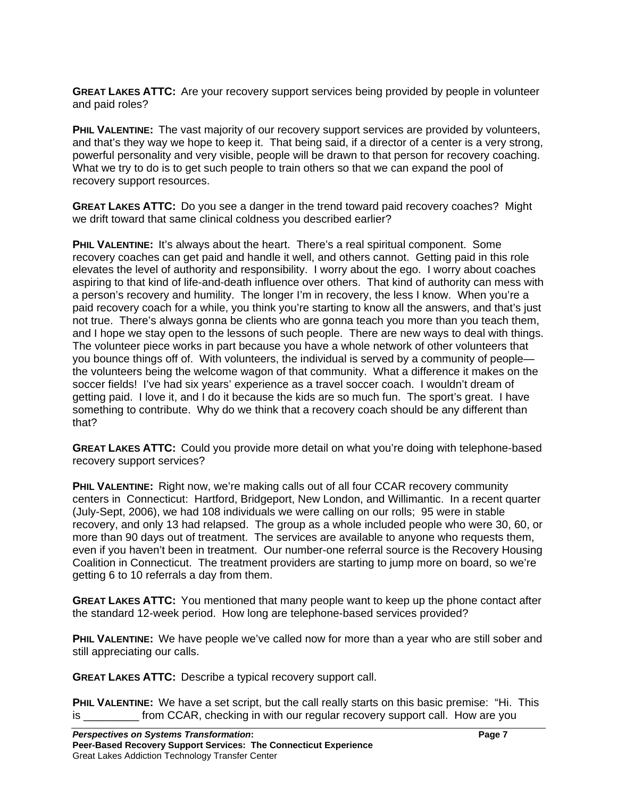**GREAT LAKES ATTC:** Are your recovery support services being provided by people in volunteer and paid roles?

**PHIL VALENTINE:** The vast majority of our recovery support services are provided by volunteers, and that's they way we hope to keep it. That being said, if a director of a center is a very strong, powerful personality and very visible, people will be drawn to that person for recovery coaching. What we try to do is to get such people to train others so that we can expand the pool of recovery support resources.

**GREAT LAKES ATTC:** Do you see a danger in the trend toward paid recovery coaches? Might we drift toward that same clinical coldness you described earlier?

**PHIL VALENTINE:** It's always about the heart. There's a real spiritual component. Some recovery coaches can get paid and handle it well, and others cannot. Getting paid in this role elevates the level of authority and responsibility. I worry about the ego. I worry about coaches aspiring to that kind of life-and-death influence over others. That kind of authority can mess with a person's recovery and humility. The longer I'm in recovery, the less I know. When you're a paid recovery coach for a while, you think you're starting to know all the answers, and that's just not true. There's always gonna be clients who are gonna teach you more than you teach them, and I hope we stay open to the lessons of such people. There are new ways to deal with things. The volunteer piece works in part because you have a whole network of other volunteers that you bounce things off of. With volunteers, the individual is served by a community of people the volunteers being the welcome wagon of that community. What a difference it makes on the soccer fields! I've had six years' experience as a travel soccer coach. I wouldn't dream of getting paid. I love it, and I do it because the kids are so much fun. The sport's great. I have something to contribute. Why do we think that a recovery coach should be any different than that?

**GREAT LAKES ATTC:** Could you provide more detail on what you're doing with telephone-based recovery support services?

**PHIL VALENTINE:** Right now, we're making calls out of all four CCAR recovery community centers in Connecticut: Hartford, Bridgeport, New London, and Willimantic. In a recent quarter (July-Sept, 2006), we had 108 individuals we were calling on our rolls; 95 were in stable recovery, and only 13 had relapsed. The group as a whole included people who were 30, 60, or more than 90 days out of treatment. The services are available to anyone who requests them, even if you haven't been in treatment. Our number-one referral source is the Recovery Housing Coalition in Connecticut. The treatment providers are starting to jump more on board, so we're getting 6 to 10 referrals a day from them.

**GREAT LAKES ATTC:** You mentioned that many people want to keep up the phone contact after the standard 12-week period. How long are telephone-based services provided?

**PHIL VALENTINE:** We have people we've called now for more than a year who are still sober and still appreciating our calls.

**GREAT LAKES ATTC:** Describe a typical recovery support call.

**PHIL VALENTINE:** We have a set script, but the call really starts on this basic premise: "Hi. This is **in the contract from CCAR**, checking in with our regular recovery support call. How are you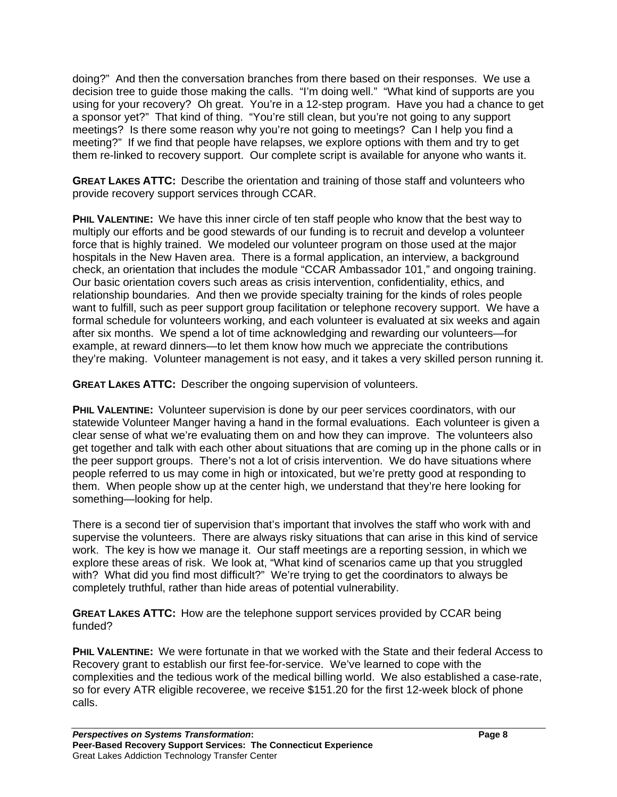doing?" And then the conversation branches from there based on their responses. We use a decision tree to guide those making the calls. "I'm doing well." "What kind of supports are you using for your recovery? Oh great. You're in a 12-step program. Have you had a chance to get a sponsor yet?" That kind of thing. "You're still clean, but you're not going to any support meetings? Is there some reason why you're not going to meetings? Can I help you find a meeting?" If we find that people have relapses, we explore options with them and try to get them re-linked to recovery support. Our complete script is available for anyone who wants it.

**GREAT LAKES ATTC:** Describe the orientation and training of those staff and volunteers who provide recovery support services through CCAR.

**PHIL VALENTINE:** We have this inner circle of ten staff people who know that the best way to multiply our efforts and be good stewards of our funding is to recruit and develop a volunteer force that is highly trained. We modeled our volunteer program on those used at the major hospitals in the New Haven area. There is a formal application, an interview, a background check, an orientation that includes the module "CCAR Ambassador 101," and ongoing training. Our basic orientation covers such areas as crisis intervention, confidentiality, ethics, and relationship boundaries. And then we provide specialty training for the kinds of roles people want to fulfill, such as peer support group facilitation or telephone recovery support. We have a formal schedule for volunteers working, and each volunteer is evaluated at six weeks and again after six months. We spend a lot of time acknowledging and rewarding our volunteers—for example, at reward dinners—to let them know how much we appreciate the contributions they're making. Volunteer management is not easy, and it takes a very skilled person running it.

**GREAT LAKES ATTC:** Describer the ongoing supervision of volunteers.

**PHIL VALENTINE:** Volunteer supervision is done by our peer services coordinators, with our statewide Volunteer Manger having a hand in the formal evaluations. Each volunteer is given a clear sense of what we're evaluating them on and how they can improve. The volunteers also get together and talk with each other about situations that are coming up in the phone calls or in the peer support groups. There's not a lot of crisis intervention. We do have situations where people referred to us may come in high or intoxicated, but we're pretty good at responding to them. When people show up at the center high, we understand that they're here looking for something—looking for help.

There is a second tier of supervision that's important that involves the staff who work with and supervise the volunteers. There are always risky situations that can arise in this kind of service work. The key is how we manage it. Our staff meetings are a reporting session, in which we explore these areas of risk. We look at, "What kind of scenarios came up that you struggled with? What did you find most difficult?" We're trying to get the coordinators to always be completely truthful, rather than hide areas of potential vulnerability.

**GREAT LAKES ATTC:** How are the telephone support services provided by CCAR being funded?

**PHIL VALENTINE:** We were fortunate in that we worked with the State and their federal Access to Recovery grant to establish our first fee-for-service. We've learned to cope with the complexities and the tedious work of the medical billing world. We also established a case-rate, so for every ATR eligible recoveree, we receive \$151.20 for the first 12-week block of phone calls.